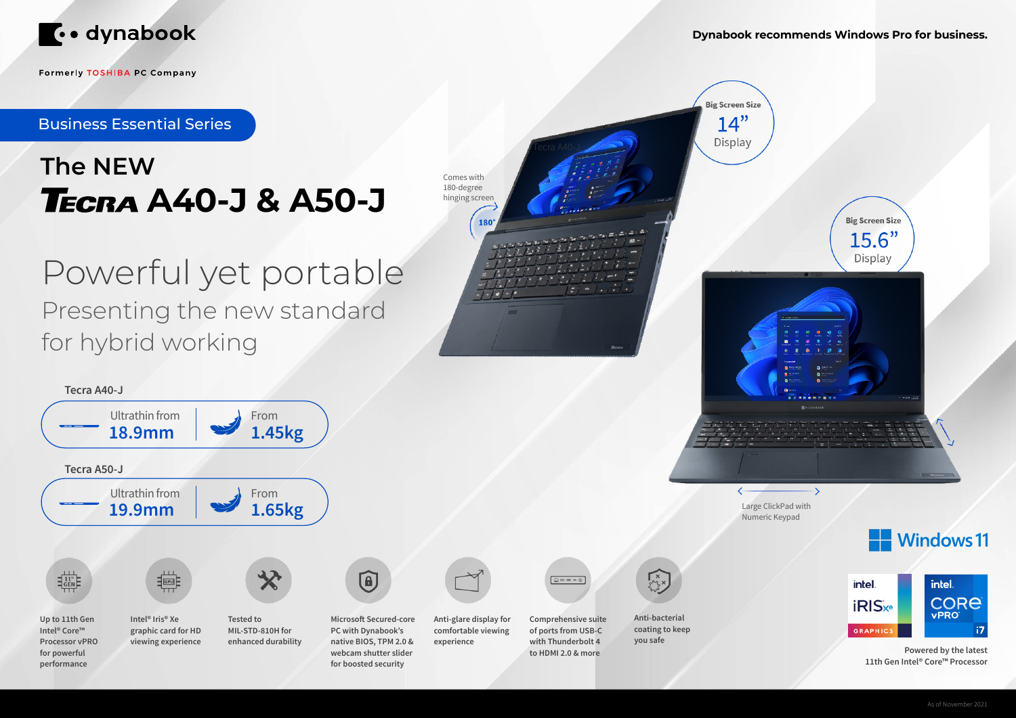

**Formerly TOSHIBA PC Company** 

# **The NEW A40-J & A50-J**

## Powerful yet portable Presenting the new standard for hybrid working



Comes with 180-degree hinging screen

180°

**Big Screen Size**  $14"$ 

Display

Tecra A50-J

Large ClickPad with Numeric Keypad

 $\rightarrow$ 





**Powered by the latest 11th Gen Intel® Core™ Processor**

**Dynabook recommends Windows Pro for business.**



Business Essential Series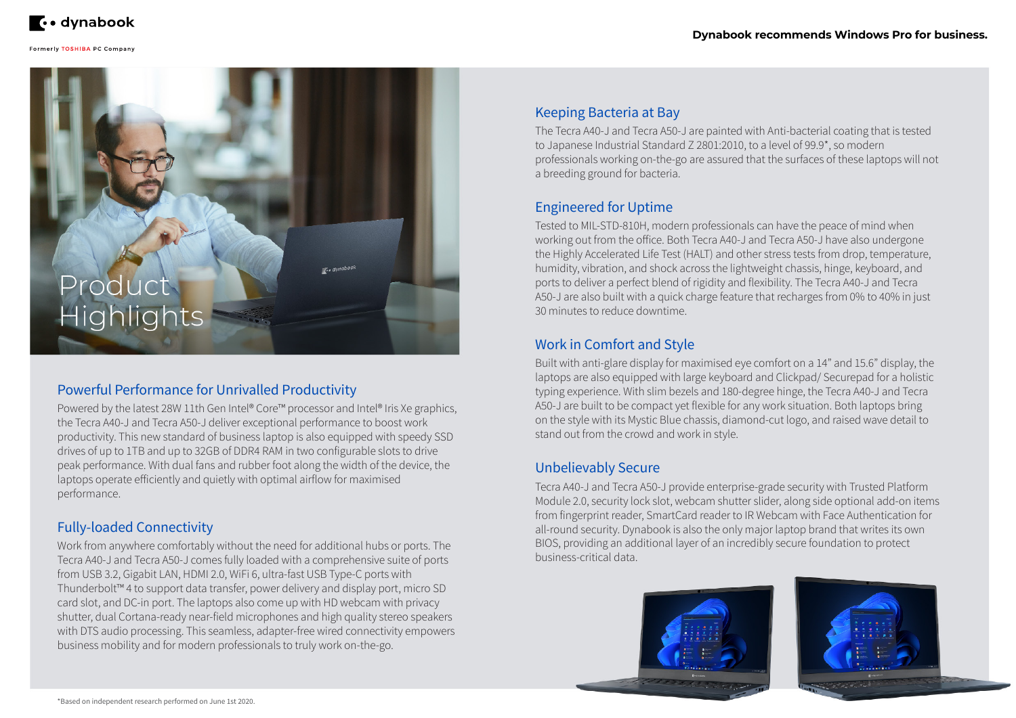

#### Formerly TOSHIBA PC Company

C. dynabook

# **Highlights**

#### Powerful Performance for Unrivalled Productivity

Powered by the latest 28W 11th Gen Intel® Core™ processor and Intel® Iris Xe graphics, the Tecra A40-J and Tecra A50-J deliver exceptional performance to boost work productivity. This new standard of business laptop is also equipped with speedy SSD drives of up to 1TB and up to 32GB of DDR4 RAM in two configurable slots to drive peak performance. With dual fans and rubber foot along the width of the device, the laptops operate efficiently and quietly with optimal airflow for maximised performance.

#### Fully-loaded Connectivity

Work from anywhere comfortably without the need for additional hubs or ports. The Tecra A40-J and Tecra A50-J comes fully loaded with a comprehensive suite of ports from USB 3.2, Gigabit LAN, HDMI 2.0, WiFi 6, ultra-fast USB Type-C ports with Thunderbolt™ 4 to support data transfer, power delivery and display port, micro SD card slot, and DC-in port. The laptops also come up with HD webcam with privacy shutter, dual Cortana-ready near-field microphones and high quality stereo speakers with DTS audio processing. This seamless, adapter-free wired connectivity empowers business mobility and for modern professionals to truly work on-the-go.

#### Keeping Bacteria at Bay

The Tecra A40-J and Tecra A50-J are painted with Anti-bacterial coating that is tested to Japanese Industrial Standard Z 2801:2010, to a level of 99.9\*, so modern professionals working on-the-go are assured that the surfaces of these laptops will not a breeding ground for bacteria.

#### Unbelievably Secure

Tecra A40-J and Tecra A50-J provide enterprise-grade security with Trusted Platform Module 2.0, security lock slot, webcam shutter slider, along side optional add-on items from fingerprint reader, SmartCard reader to IR Webcam with Face Authentication for all-round security. Dynabook is also the only major laptop brand that writes its own BIOS, providing an additional layer of an incredibly secure foundation to protect business-critical data.



#### Engineered for Uptime

Tested to MIL-STD-810H, modern professionals can have the peace of mind when working out from the office. Both Tecra A40-J and Tecra A50-J have also undergone the Highly Accelerated Life Test (HALT) and other stress tests from drop, temperature, humidity, vibration, and shock across the lightweight chassis, hinge, keyboard, and ports to deliver a perfect blend of rigidity and flexibility. The Tecra A40-J and Tecra A50-J are also built with a quick charge feature that recharges from 0% to 40% in just 30 minutes to reduce downtime.

#### Work in Comfort and Style

Built with anti-glare display for maximised eye comfort on a 14" and 15.6" display, the laptops are also equipped with large keyboard and Clickpad/ Securepad for a holistic typing experience. With slim bezels and 180-degree hinge, the Tecra A40-J and Tecra A50-J are built to be compact yet flexible for any work situation. Both laptops bring on the style with its Mystic Blue chassis, diamond-cut logo, and raised wave detail to stand out from the crowd and work in style.

#### **Dynabook recommends Windows Pro for business.**